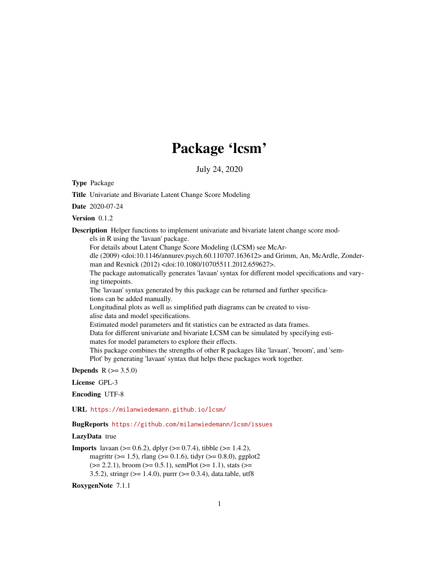# Package 'lcsm'

July 24, 2020

<span id="page-0-0"></span>Type Package

Title Univariate and Bivariate Latent Change Score Modeling

Date 2020-07-24

Version 0.1.2

Description Helper functions to implement univariate and bivariate latent change score mod-

els in R using the 'lavaan' package.

For details about Latent Change Score Modeling (LCSM) see McAr-

dle (2009) <doi:10.1146/annurev.psych.60.110707.163612> and Grimm, An, McArdle, Zonderman and Resnick (2012) <doi:10.1080/10705511.2012.659627>.

The package automatically generates 'lavaan' syntax for different model specifications and varying timepoints.

The 'lavaan' syntax generated by this package can be returned and further specifications can be added manually.

Longitudinal plots as well as simplified path diagrams can be created to visualise data and model specifications.

Estimated model parameters and fit statistics can be extracted as data frames.

Data for different univariate and bivariate LCSM can be simulated by specifying esti-

mates for model parameters to explore their effects.

This package combines the strengths of other R packages like 'lavaan', 'broom', and 'sem-Plot' by generating 'lavaan' syntax that helps these packages work together.

**Depends** R  $(>= 3.5.0)$ 

#### License GPL-3

Encoding UTF-8

URL <https://milanwiedemann.github.io/lcsm/>

BugReports <https://github.com/milanwiedemann/lcsm/issues>

#### LazyData true

```
Imports lavaan (> = 0.6.2), dplyr (> = 0.7.4), tibble (> = 1.4.2),
      magrittr (>= 1.5), rlang (>= 0.1.6), tidyr (>= 0.8.0), ggplot2
      (>= 2.2.1), broom (>= 0.5.1), semPlot (>= 1.1), stats (>= 1.1)3.5.2), stringr (>= 1.4.0), purrr (>= 0.3.4), data.table, utf8
```
RoxygenNote 7.1.1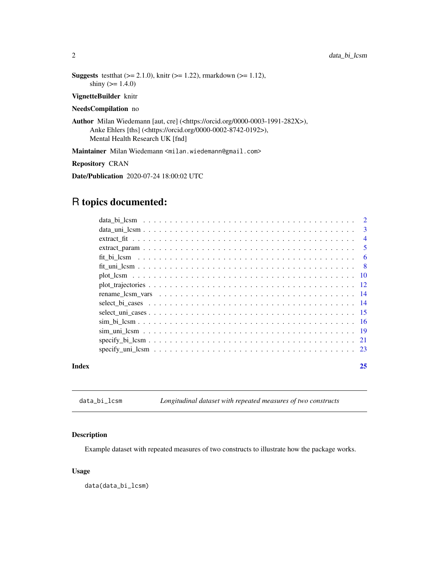```
Suggests test that (>= 2.1.0), knitr (>= 1.22), rmarkdown (>= 1.12),
      shiny (> = 1.4.0)
```
#### VignetteBuilder knitr

#### NeedsCompilation no

Author Milan Wiedemann [aut, cre] (<https://orcid.org/0000-0003-1991-282X>), Anke Ehlers [ths] (<https://orcid.org/0000-0002-8742-0192>), Mental Health Research UK [fnd]

Maintainer Milan Wiedemann <milan.wiedemann@gmail.com>

#### Repository CRAN

Date/Publication 2020-07-24 18:00:02 UTC

# R topics documented:

| Index | 25             |
|-------|----------------|
|       |                |
|       |                |
|       |                |
|       |                |
|       |                |
|       |                |
|       |                |
|       |                |
|       |                |
|       |                |
|       |                |
|       |                |
|       | $\overline{4}$ |
|       |                |
|       |                |

data\_bi\_lcsm *Longitudinal dataset with repeated measures of two constructs*

#### Description

Example dataset with repeated measures of two constructs to illustrate how the package works.

#### Usage

data(data\_bi\_lcsm)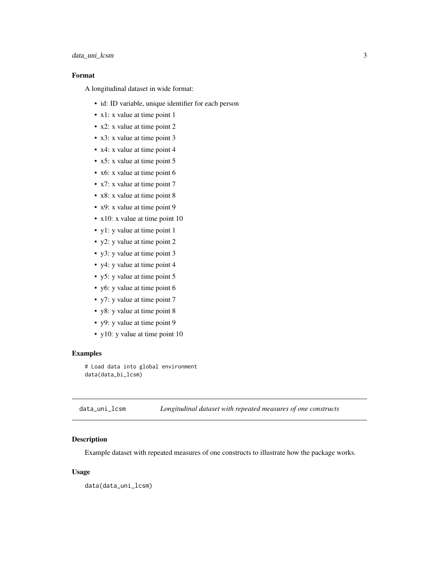# <span id="page-2-0"></span>data\_uni\_lcsm 3

# Format

A longitudinal dataset in wide format:

- id: ID variable, unique identifier for each person
- x1: x value at time point 1
- x2: x value at time point 2
- x3: x value at time point 3
- x4: x value at time point 4
- x5: x value at time point 5
- x6: x value at time point 6
- x7: x value at time point 7
- x8: x value at time point 8
- x9: x value at time point 9
- x10: x value at time point 10
- y1: y value at time point 1
- y2: y value at time point 2
- y3: y value at time point 3
- y4: y value at time point 4
- y5: y value at time point 5
- y6: y value at time point 6
- y7: y value at time point 7
- y8: y value at time point 8
- y9: y value at time point 9
- y10: y value at time point 10

#### Examples

# Load data into global environment data(data\_bi\_lcsm)

data\_uni\_lcsm *Longitudinal dataset with repeated measures of one constructs*

# Description

Example dataset with repeated measures of one constructs to illustrate how the package works.

#### Usage

data(data\_uni\_lcsm)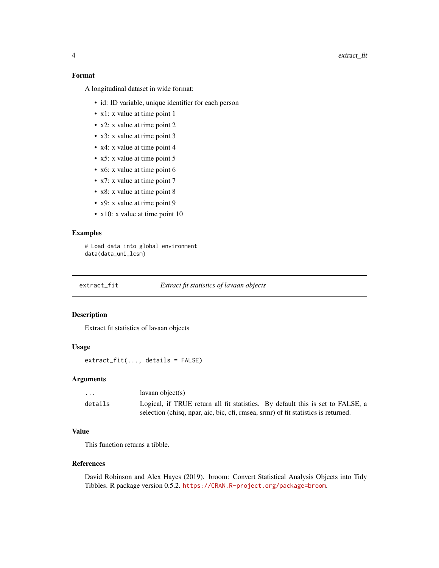# <span id="page-3-0"></span>Format

A longitudinal dataset in wide format:

- id: ID variable, unique identifier for each person
- x1: x value at time point 1
- x2: x value at time point 2
- x3: x value at time point 3
- x4: x value at time point 4
- x5: x value at time point 5
- x6: x value at time point 6
- x7: x value at time point 7
- x8: x value at time point 8
- x9: x value at time point 9
- x10: x value at time point 10

# Examples

# Load data into global environment data(data\_uni\_lcsm)

extract\_fit *Extract fit statistics of lavaan objects*

#### Description

Extract fit statistics of lavaan objects

# Usage

extract\_fit(..., details = FALSE)

#### Arguments

| .       | $l$ avaan object $(s)$                                                             |
|---------|------------------------------------------------------------------------------------|
| details | Logical, if TRUE return all fit statistics. By default this is set to FALSE, a     |
|         | selection (chisq, npar, aic, bic, cfi, rmsea, srmr) of fit statistics is returned. |

#### Value

This function returns a tibble.

#### References

David Robinson and Alex Hayes (2019). broom: Convert Statistical Analysis Objects into Tidy Tibbles. R package version 0.5.2. <https://CRAN.R-project.org/package=broom>.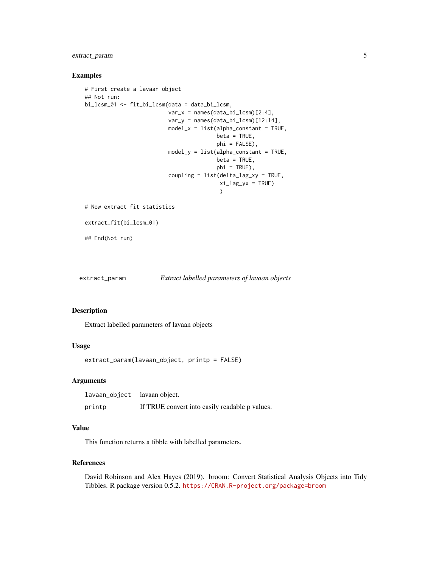# <span id="page-4-0"></span>extract\_param 5

#### Examples

```
# First create a lavaan object
## Not run:
bi_lcsm_01 <- fit_bi_lcsm(data = data_bi_lcsm,
                          var_x = names(data_bi_lcsm)[2:4],var_y = names(data_bi_lcsm)[12:14],model_x = list(alpha\_constant = TRUE,beta = TRUE,
                                         phi = FALSE),
                          model_y = list(alpha\_constant = TRUE,beta = TRUE,phi = TRUE),
                          coupling = list(delta_lag_xy = TRUE,
                                          xi\_lag_yx = TRUE\lambda# Now extract fit statistics
extract_fit(bi_lcsm_01)
## End(Not run)
```
extract\_param *Extract labelled parameters of lavaan objects*

#### Description

Extract labelled parameters of lavaan objects

#### Usage

```
extract_param(lavaan_object, printp = FALSE)
```
#### Arguments

| lavaan_object lavaan object. |                                                |
|------------------------------|------------------------------------------------|
| printp                       | If TRUE convert into easily readable p values. |

#### Value

This function returns a tibble with labelled parameters.

#### References

David Robinson and Alex Hayes (2019). broom: Convert Statistical Analysis Objects into Tidy Tibbles. R package version 0.5.2. <https://CRAN.R-project.org/package=broom>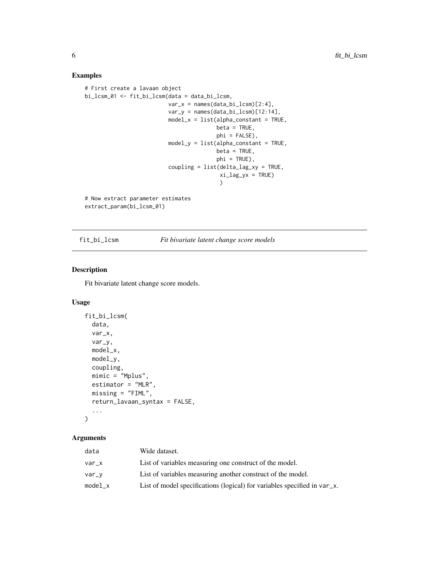# Examples

```
# First create a lavaan object
bi_lcsm_01 <- fit_bi_lcsm(data = data_bi_lcsm,
                          var_x = names(data_bi_lcsm)[2:4],var_y = names(data_bi_lcsm)[12:14],
                          model_x = list(alpha\_constant = TRUE,beta = TRUE,phi = FALSE),
                          model_y = list(alpha\_constant = TRUE,beta = TRUE,
                                         phi = TRUE),
                          coupling = list(delta_lag_xy = TRUE,
                                          xi\_lag\_yx = TRUE)
# Now extract parameter estimates
extract_param(bi_lcsm_01)
```
#### fit\_bi\_lcsm *Fit bivariate latent change score models*

#### Description

Fit bivariate latent change score models.

#### Usage

```
fit_bi_lcsm(
  data,
  var_x,
  var_y,
  model_x,
  model_y,
  coupling,
  mimic = "Mplus",
  estimator = "MLR",
  missing = "FIML",
  return_lavaan_syntax = FALSE,
  ...
\mathcal{L}
```

| data    | Wide dataset.                                                            |
|---------|--------------------------------------------------------------------------|
| var x   | List of variables measuring one construct of the model.                  |
| var_v   | List of variables measuring another construct of the model.              |
| model_x | List of model specifications (logical) for variables specified in var_x. |

<span id="page-5-0"></span>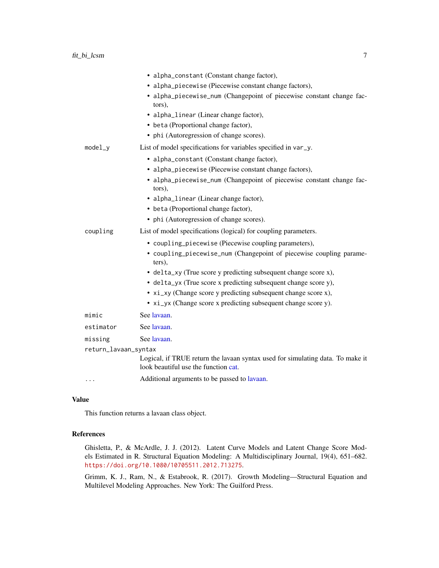<span id="page-6-0"></span>

|                      | • alpha_constant (Constant change factor),                                                                             |
|----------------------|------------------------------------------------------------------------------------------------------------------------|
|                      | • alpha_piecewise (Piecewise constant change factors),                                                                 |
|                      | • alpha_piecewise_num (Changepoint of piecewise constant change fac-<br>tors),                                         |
|                      | • alpha_linear (Linear change factor),                                                                                 |
|                      | • beta (Proportional change factor),                                                                                   |
|                      | • phi (Autoregression of change scores).                                                                               |
| $model_y$            | List of model specifications for variables specified in var_y.                                                         |
|                      | • alpha_constant (Constant change factor),                                                                             |
|                      | • alpha_piecewise (Piecewise constant change factors),                                                                 |
|                      | • alpha_piecewise_num (Changepoint of piecewise constant change fac-<br>tors),                                         |
|                      | • alpha_linear (Linear change factor),                                                                                 |
|                      | • beta (Proportional change factor),                                                                                   |
|                      | • phi (Autoregression of change scores).                                                                               |
| coupling             | List of model specifications (logical) for coupling parameters.                                                        |
|                      | • coupling_piecewise (Piecewise coupling parameters),                                                                  |
|                      | • coupling_piecewise_num (Changepoint of piecewise coupling parame-<br>ters),                                          |
|                      | • delta_xy (True score y predicting subsequent change score x),                                                        |
|                      | • delta_yx (True score x predicting subsequent change score y),                                                        |
|                      | • $xi_x$ y (Change score y predicting subsequent change score x),                                                      |
|                      | • xi_yx (Change score x predicting subsequent change score y).                                                         |
| mimic                | See lavaan.                                                                                                            |
| estimator            | See lavaan.                                                                                                            |
| missing              | See lavaan.                                                                                                            |
| return_lavaan_syntax |                                                                                                                        |
|                      | Logical, if TRUE return the lavaan syntax used for simulating data. To make it<br>look beautiful use the function cat. |
|                      | Additional arguments to be passed to lavaan.                                                                           |

#### Value

This function returns a lavaan class object.

#### References

Ghisletta, P., & McArdle, J. J. (2012). Latent Curve Models and Latent Change Score Models Estimated in R. Structural Equation Modeling: A Multidisciplinary Journal, 19(4), 651–682. <https://doi.org/10.1080/10705511.2012.713275>.

Grimm, K. J., Ram, N., & Estabrook, R. (2017). Growth Modeling—Structural Equation and Multilevel Modeling Approaches. New York: The Guilford Press.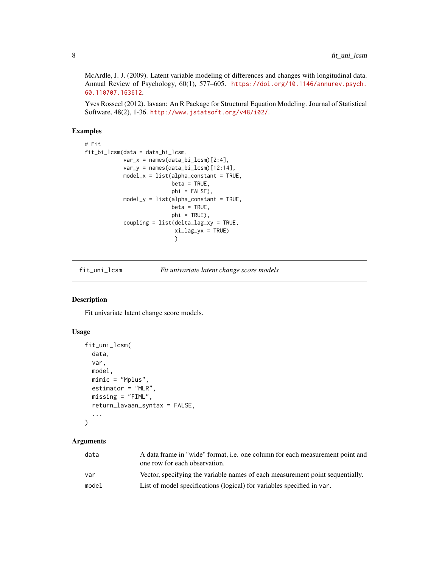<span id="page-7-0"></span>McArdle, J. J. (2009). Latent variable modeling of differences and changes with longitudinal data. Annual Review of Psychology, 60(1), 577–605. [https://doi.org/10.1146/annurev.psych.](https://doi.org/10.1146/annurev.psych.60.110707.163612) [60.110707.163612](https://doi.org/10.1146/annurev.psych.60.110707.163612).

Yves Rosseel (2012). lavaan: An R Package for Structural Equation Modeling. Journal of Statistical Software, 48(2), 1-36. <http://www.jstatsoft.org/v48/i02/>.

# Examples

```
# Fit
fit_bi_lcsm(data = data_bi_lcsm,
            var_x = names(data_bi_lcsm)[2:4],var_y = names(data_bi_lcsm)[12:14],
            model_x = list(alpha\_constant = TRUE,beta = TRUE,phi = FALSE),
            model_y = list(alpha\_constant = TRUE,beta = TRUE,phi = TRUE),
            coupling = list(delta_lag_xy = TRUE,
                            xi\_lag_yx = TRUE\lambda
```
fit\_uni\_lcsm *Fit univariate latent change score models*

# Description

Fit univariate latent change score models.

# Usage

```
fit_uni_lcsm(
  data,
  var,
  model,
 mimic = "Mplus",
  estimator = "MLR",
 missing = "FIML",
  return_lavaan_syntax = FALSE,
  ...
)
```

| data  | A data frame in "wide" format, <i>i.e.</i> one column for each measurement point and<br>one row for each observation. |
|-------|-----------------------------------------------------------------------------------------------------------------------|
| var   | Vector, specifying the variable names of each measurement point sequentially.                                         |
| model | List of model specifications (logical) for variables specified in var.                                                |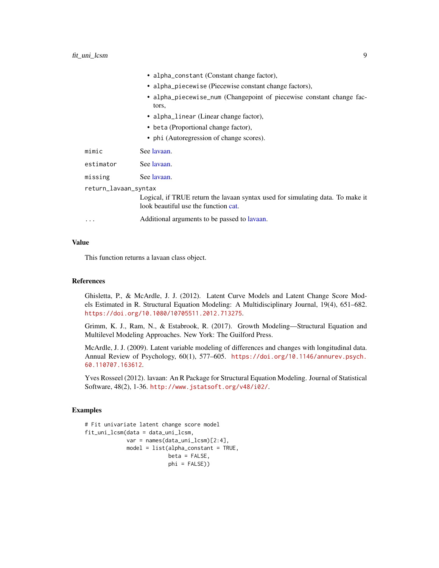<span id="page-8-0"></span>

|                      | • alpha_constant (Constant change factor),                                                                             |
|----------------------|------------------------------------------------------------------------------------------------------------------------|
|                      | • alpha_piecewise (Piecewise constant change factors),                                                                 |
|                      | • alpha_piecewise_num (Changepoint of piecewise constant change fac-<br>tors,                                          |
|                      | • alpha_linear (Linear change factor),                                                                                 |
|                      | • beta (Proportional change factor),                                                                                   |
|                      | • phi (Autoregression of change scores).                                                                               |
| mimic                | See lavaan.                                                                                                            |
| estimator            | See lavaan.                                                                                                            |
| missing              | See lavaan.                                                                                                            |
| return_lavaan_syntax |                                                                                                                        |
|                      | Logical, if TRUE return the lavaan syntax used for simulating data. To make it<br>look beautiful use the function cat. |
| .                    | Additional arguments to be passed to lavaan.                                                                           |

#### Value

This function returns a lavaan class object.

#### References

Ghisletta, P., & McArdle, J. J. (2012). Latent Curve Models and Latent Change Score Models Estimated in R. Structural Equation Modeling: A Multidisciplinary Journal, 19(4), 651–682. <https://doi.org/10.1080/10705511.2012.713275>.

Grimm, K. J., Ram, N., & Estabrook, R. (2017). Growth Modeling—Structural Equation and Multilevel Modeling Approaches. New York: The Guilford Press.

McArdle, J. J. (2009). Latent variable modeling of differences and changes with longitudinal data. Annual Review of Psychology, 60(1), 577–605. [https://doi.org/10.1146/annurev.psych.](https://doi.org/10.1146/annurev.psych.60.110707.163612) [60.110707.163612](https://doi.org/10.1146/annurev.psych.60.110707.163612).

Yves Rosseel (2012). lavaan: An R Package for Structural Equation Modeling. Journal of Statistical Software, 48(2), 1-36. <http://www.jstatsoft.org/v48/i02/>.

#### Examples

```
# Fit univariate latent change score model
fit_uni_lcsm(data = data_uni_lcsm,
            var = names(data\_uni\_lcsm)[2:4],model = list(alpha\_constant = TRUE,beta = FALSE,
                          phi = FALSE))
```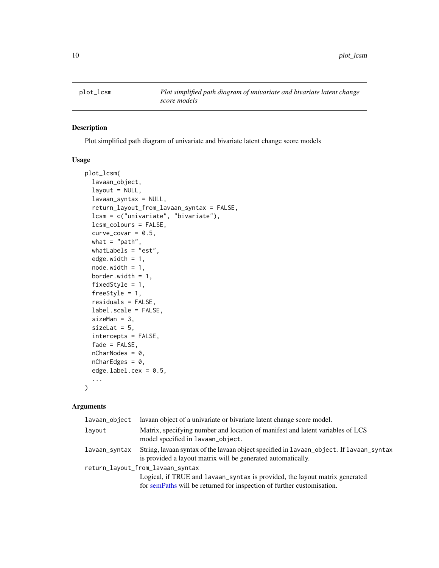<span id="page-9-0"></span>

#### Description

Plot simplified path diagram of univariate and bivariate latent change score models

#### Usage

```
plot_lcsm(
  lavaan_object,
  layout = NULL,
  lavaan_syntax = NULL,
  return_layout_from_lavaan_syntax = FALSE,
  lcsm = c("univariate", "bivariate"),
  lcsm_colours = FALSE,
  curve\_covar = 0.5,
 what = "path",
  whatLabels = "est",
  edge.width = 1,
  node.width = 1,
  border.width = 1,
  fixedStyle = 1,
  freeStyle = 1,
  residuals = FALSE,
  label.scale = FALSE,
  sizeMan = 3,
  sizeLat = 5,
  intercepts = FALSE,
  fade = FALSE,
  nCharNodes = 0,
  nCharEdges = 0,
  edgeu = 0.5,
  ...
```
)

| lavaan_object | lavaan object of a univariate or bivariate latent change score model.                                                                                   |
|---------------|---------------------------------------------------------------------------------------------------------------------------------------------------------|
| lavout        | Matrix, specifying number and location of manifest and latent variables of LCS<br>model specified in lavaan_object.                                     |
| lavaan_syntax | String, lavaan syntax of the lavaan object specified in lavaan_object. If lavaan_syntax<br>is provided a layout matrix will be generated automatically. |
|               | return_layout_from_lavaan_syntax                                                                                                                        |
|               | Logical, if TRUE and lavaan_syntax is provided, the layout matrix generated                                                                             |
|               | for semPaths will be returned for inspection of further customisation.                                                                                  |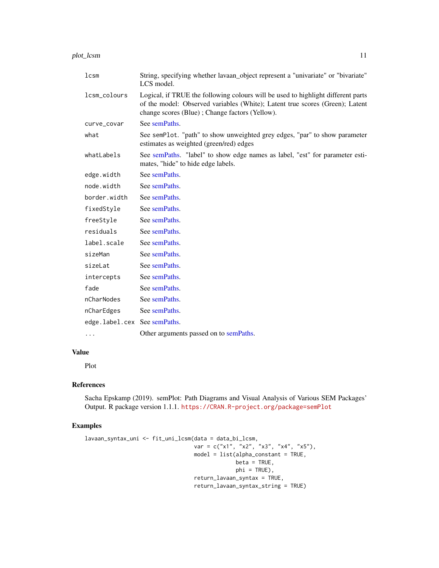<span id="page-10-0"></span>plot\_lcsm 11

| lcm                          | String, specifying whether lavaan_object represent a "univariate" or "bivariate"<br>LCS model.                                                                                                                     |
|------------------------------|--------------------------------------------------------------------------------------------------------------------------------------------------------------------------------------------------------------------|
| lcsm_colours                 | Logical, if TRUE the following colours will be used to highlight different parts<br>of the model: Observed variables (White); Latent true scores (Green); Latent<br>change scores (Blue); Change factors (Yellow). |
| curve_covar                  | See semPaths.                                                                                                                                                                                                      |
| what                         | See semPlot. "path" to show unweighted grey edges, "par" to show parameter<br>estimates as weighted (green/red) edges                                                                                              |
| whatLabels                   | See semPaths. "label" to show edge names as label, "est" for parameter esti-<br>mates, "hide" to hide edge labels.                                                                                                 |
| edge.width                   | See semPaths.                                                                                                                                                                                                      |
| node.width                   | See semPaths.                                                                                                                                                                                                      |
| border.width                 | See semPaths.                                                                                                                                                                                                      |
| fixedStyle                   | See semPaths.                                                                                                                                                                                                      |
| freeStyle                    | See semPaths.                                                                                                                                                                                                      |
| residuals                    | See semPaths.                                                                                                                                                                                                      |
| label.scale                  | See semPaths.                                                                                                                                                                                                      |
| sizeMan                      | See semPaths.                                                                                                                                                                                                      |
| sizeLat                      | See semPaths.                                                                                                                                                                                                      |
| intercepts                   | See semPaths.                                                                                                                                                                                                      |
| fade                         | See semPaths.                                                                                                                                                                                                      |
| nCharNodes                   | See semPaths.                                                                                                                                                                                                      |
| nCharEdges                   | See semPaths.                                                                                                                                                                                                      |
| edge.label.cex See semPaths. |                                                                                                                                                                                                                    |
| $\cdots$                     | Other arguments passed on to semPaths.                                                                                                                                                                             |

# Value

Plot

# References

Sacha Epskamp (2019). semPlot: Path Diagrams and Visual Analysis of Various SEM Packages' Output. R package version 1.1.1. <https://CRAN.R-project.org/package=semPlot>

# Examples

```
lavaan_syntax_uni <- fit_uni_lcsm(data = data_bi_lcsm,
                                 var = c("x1", "x2", "x3", "x4", "x5"),
                                 model = list(alpha_constant = TRUE,
                                              beta = TRUE,phi = TRUE),
                                 return_lavaan_syntax = TRUE,
                                 return_lavaan_syntax_string = TRUE)
```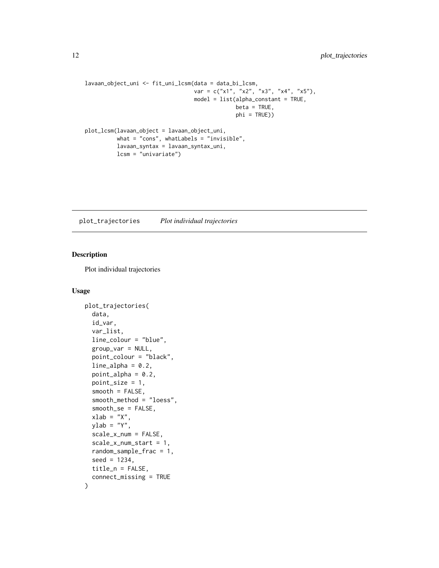```
lavaan_object_uni <- fit_uni_lcsm(data = data_bi_lcsm,
                                  var = c("x1", "x2", "x3", "x4", "x5"),
                                  model = list(alpha\_constant = TRUE,beta = TRUE,phi = TRUE))
plot_lcsm(lavaan_object = lavaan_object_uni,
         what = "cons", whatLabels = "invisible",
         lavaan_syntax = lavaan_syntax_uni,
         lcsm = "univariate")
```
plot\_trajectories *Plot individual trajectories*

# Description

Plot individual trajectories

#### Usage

```
plot_trajectories(
  data,
  id_var,
  var_list,
  line_colour = "blue",
  group_var = NULL,
  point_colour = "black",
  line\_alpha = 0.2,
  point_alpha = 0.2,
  point_size = 1,
  smooth = FALSE,
  smooth_method = "loess",
  smooth_se = FALSE,
  xlab = "X",
  ylab = "Y",scale_x_num = FALSE,
  scale_x_num_start = 1,
  random_sample_frac = 1,
  seed = 1234,
  title_n = FALSE,
  connect_missing = TRUE
)
```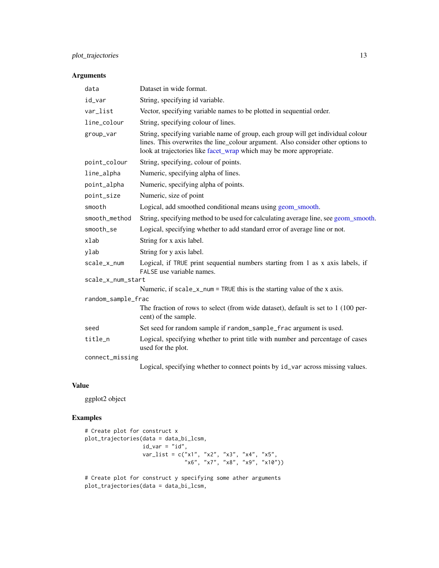# <span id="page-12-0"></span>plot\_trajectories 13

# Arguments

| data               | Dataset in wide format.                                                                                                                                                                                                                    |  |  |  |  |  |
|--------------------|--------------------------------------------------------------------------------------------------------------------------------------------------------------------------------------------------------------------------------------------|--|--|--|--|--|
| id_var             | String, specifying id variable.                                                                                                                                                                                                            |  |  |  |  |  |
| var_list           | Vector, specifying variable names to be plotted in sequential order.                                                                                                                                                                       |  |  |  |  |  |
| line_colour        | String, specifying colour of lines.                                                                                                                                                                                                        |  |  |  |  |  |
| group_var          | String, specifying variable name of group, each group will get individual colour<br>lines. This overwrites the line_colour argument. Also consider other options to<br>look at trajectories like facet_wrap which may be more appropriate. |  |  |  |  |  |
| point_colour       | String, specifying, colour of points.                                                                                                                                                                                                      |  |  |  |  |  |
| line_alpha         | Numeric, specifying alpha of lines.                                                                                                                                                                                                        |  |  |  |  |  |
| point_alpha        | Numeric, specifying alpha of points.                                                                                                                                                                                                       |  |  |  |  |  |
| point_size         | Numeric, size of point                                                                                                                                                                                                                     |  |  |  |  |  |
| smooth             | Logical, add smoothed conditional means using geom_smooth.                                                                                                                                                                                 |  |  |  |  |  |
| smooth_method      | String, specifying method to be used for calculating average line, see geom_smooth.                                                                                                                                                        |  |  |  |  |  |
| smooth_se          | Logical, specifying whether to add standard error of average line or not.                                                                                                                                                                  |  |  |  |  |  |
| xlab               | String for x axis label.                                                                                                                                                                                                                   |  |  |  |  |  |
| ylab               | String for y axis label.                                                                                                                                                                                                                   |  |  |  |  |  |
| scale_x_num        | Logical, if TRUE print sequential numbers starting from 1 as x axis labels, if<br>FALSE use variable names.                                                                                                                                |  |  |  |  |  |
| scale_x_num_start  |                                                                                                                                                                                                                                            |  |  |  |  |  |
|                    | Numeric, if scale_x_num = TRUE this is the starting value of the x axis.                                                                                                                                                                   |  |  |  |  |  |
| random_sample_frac |                                                                                                                                                                                                                                            |  |  |  |  |  |
|                    | The fraction of rows to select (from wide dataset), default is set to 1 (100 per-<br>cent) of the sample.                                                                                                                                  |  |  |  |  |  |
| seed               | Set seed for random sample if random_sample_frac argument is used.                                                                                                                                                                         |  |  |  |  |  |
| title_n            | Logical, specifying whether to print title with number and percentage of cases<br>used for the plot.                                                                                                                                       |  |  |  |  |  |
| connect_missing    |                                                                                                                                                                                                                                            |  |  |  |  |  |
|                    | Logical, specifying whether to connect points by id_var across missing values.                                                                                                                                                             |  |  |  |  |  |

#### Value

ggplot2 object

# Examples

```
# Create plot for construct x
plot_trajectories(data = data_bi_lcsm,
                 id\_var = "id",var_list = c("x1", "x2", "x3", "x4", "x5",
                               "x6", "x7", "x8", "x9", "x10"))
# Create plot for construct y specifying some ather arguments
```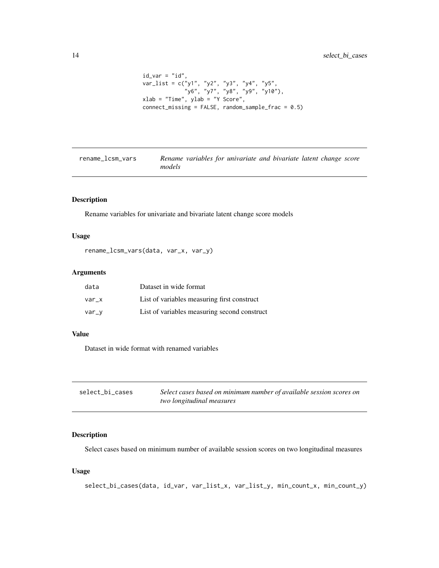```
id\_var = "id",var_list = c("y1", "y2", "y3", "y4", "y5",
             "y6", "y7", "y8", "y9", "y10"),
xlab = "Time", ylab = "Y Score",
connect\_missing = FALSE, random\_sample\_frac = 0.5)
```

| rename_lcsm_vars |        |  | Rename variables for univariate and bivariate latent change score |  |  |  |
|------------------|--------|--|-------------------------------------------------------------------|--|--|--|
|                  | models |  |                                                                   |  |  |  |

# Description

Rename variables for univariate and bivariate latent change score models

#### Usage

```
rename_lcsm_vars(data, var_x, var_y)
```
# Arguments

| data  | Dataset in wide format                       |
|-------|----------------------------------------------|
| var x | List of variables measuring first construct  |
| var_v | List of variables measuring second construct |

# Value

Dataset in wide format with renamed variables

| select_bi_cases | Select cases based on minimum number of available session scores on |
|-----------------|---------------------------------------------------------------------|
|                 | two longitudinal measures                                           |

### Description

Select cases based on minimum number of available session scores on two longitudinal measures

### Usage

```
select_bi_cases(data, id_var, var_list_x, var_list_y, min_count_x, min_count_y)
```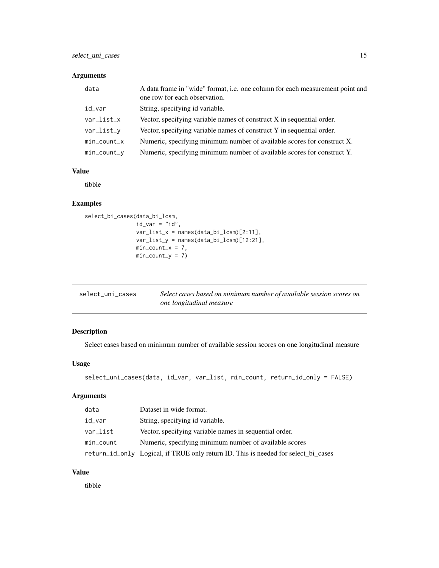# <span id="page-14-0"></span>Arguments

| data           | A data frame in "wide" format, i.e. one column for each measurement point and<br>one row for each observation. |
|----------------|----------------------------------------------------------------------------------------------------------------|
| id_var         | String, specifying id variable.                                                                                |
| $var_list_x$   | Vector, specifying variable names of construct $X$ in sequential order.                                        |
| var_list_y     | Vector, specifying variable names of construct Y in sequential order.                                          |
| $min\_count_x$ | Numeric, specifying minimum number of available scores for construct X.                                        |
| $min\_count_y$ | Numeric, specifying minimum number of available scores for construct Y.                                        |

# Value

tibble

# Examples

```
select_bi_cases(data_bi_lcsm,
               id\_var = "id",var_list_x = names(data_bi_lossm)[2:11],var_list_y = names(data_bi_lcsm)[12:21],
               min\_count_x = 7,
               min\_count_y = 7
```

| select_uni_cases | Select cases based on minimum number of available session scores on |
|------------------|---------------------------------------------------------------------|
|                  | one longitudinal measure                                            |

# Description

Select cases based on minimum number of available session scores on one longitudinal measure

# Usage

```
select_uni_cases(data, id_var, var_list, min_count, return_id_only = FALSE)
```
# Arguments

| data      | Dataset in wide format.                                                            |
|-----------|------------------------------------------------------------------------------------|
| id_var    | String, specifying id variable.                                                    |
| var_list  | Vector, specifying variable names in sequential order.                             |
| min_count | Numeric, specifying minimum number of available scores                             |
|           | return_id_only Logical, if TRUE only return ID. This is needed for select_bi_cases |

# Value

tibble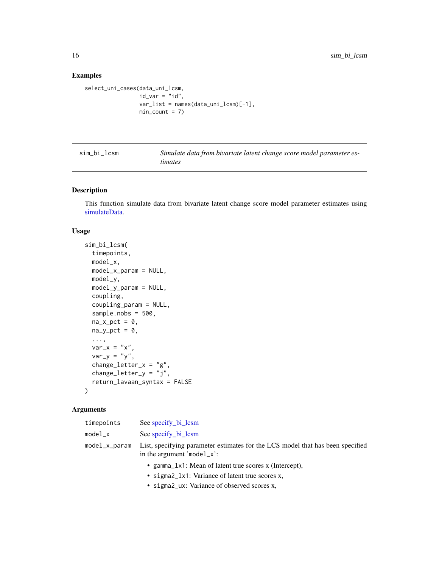# <span id="page-15-0"></span>Examples

```
select_uni_cases(data_uni_lcsm,
                id\_var = "id",var_list = names(data_uni_lcsm)[-1],
                 min\_count = 7
```

| sim bi lcsm | Simulate data from bivariate latent change score model parameter es- |
|-------------|----------------------------------------------------------------------|
|             | <i>timates</i>                                                       |

### Description

This function simulate data from bivariate latent change score model parameter estimates using [simulateData.](#page-0-0)

#### Usage

```
sim_bi_lcsm(
  timepoints,
 model_x,
 model_x_param = NULL,
 model_y,
 model_y_param = NULL,
 coupling,
  coupling_param = NULL,
  sample.nobs = 500,
  na_xpct = 0,
 na_y_pct = 0,
  ...,
 var_x = "x",var_y = "y",change_letter_x = "g",change\_letter_y = "j",return_lavaan_syntax = FALSE
)
```

| timepoints    | See specify bi lcsm                                                                                              |
|---------------|------------------------------------------------------------------------------------------------------------------|
| $model_x$     | See specify bi lcsm                                                                                              |
| model_x_param | List, specifying parameter estimates for the LCS model that has been specified<br>in the argument 'model_ $x$ ': |
|               | • gamma <sub>l</sub> x1: Mean of latent true scores x (Intercept),                                               |
|               |                                                                                                                  |

- sigma2\_ux: Variance of observed scores x,
- 
- sigma2\_lx1: Variance of latent true scores x,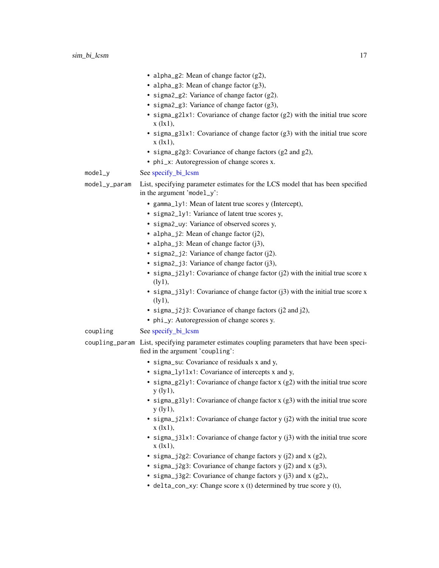| $model_y$<br>model_y_param | • alpha_g2: Mean of change factor (g2),<br>• alpha_g3: Mean of change factor $(g3)$ ,<br>· sigma2_g2: Variance of change factor (g2).<br>• sigma2_g3: Variance of change factor (g3),<br>• sigma_g21x1: Covariance of change factor (g2) with the initial true score<br>$x$ ( $\{x1\}$ ),<br>• sigma_g31x1: Covariance of change factor (g3) with the initial true score<br>$x$ ( $\{1x1\}$ ),<br>• sigma_g2g3: Covariance of change factors (g2 and g2),<br>• phi_x: Autoregression of change scores x.<br>See specify_bi_lcsm<br>List, specifying parameter estimates for the LCS model that has been specified<br>in the argument 'model_y': |
|----------------------------|-------------------------------------------------------------------------------------------------------------------------------------------------------------------------------------------------------------------------------------------------------------------------------------------------------------------------------------------------------------------------------------------------------------------------------------------------------------------------------------------------------------------------------------------------------------------------------------------------------------------------------------------------|
|                            | • gamma_ly1: Mean of latent true scores y (Intercept),                                                                                                                                                                                                                                                                                                                                                                                                                                                                                                                                                                                          |
|                            | • sigma2_ly1: Variance of latent true scores y,                                                                                                                                                                                                                                                                                                                                                                                                                                                                                                                                                                                                 |
|                            | · sigma2_uy: Variance of observed scores y,                                                                                                                                                                                                                                                                                                                                                                                                                                                                                                                                                                                                     |
|                            | • alpha_j2: Mean of change factor (j2),                                                                                                                                                                                                                                                                                                                                                                                                                                                                                                                                                                                                         |
|                            | • alpha_j3: Mean of change factor $(j3)$ ,                                                                                                                                                                                                                                                                                                                                                                                                                                                                                                                                                                                                      |
|                            | • sigma2_j2: Variance of change factor (j2).                                                                                                                                                                                                                                                                                                                                                                                                                                                                                                                                                                                                    |
|                            | · sigma2_j3: Variance of change factor (j3),                                                                                                                                                                                                                                                                                                                                                                                                                                                                                                                                                                                                    |
|                            | • sigma_j2ly1: Covariance of change factor (j2) with the initial true score x<br>(1y1),                                                                                                                                                                                                                                                                                                                                                                                                                                                                                                                                                         |
|                            | • sigma_j31y1: Covariance of change factor $(j3)$ with the initial true score x<br>(1y1),                                                                                                                                                                                                                                                                                                                                                                                                                                                                                                                                                       |
|                            | • sigma_j2j3: Covariance of change factors (j2 and j2),                                                                                                                                                                                                                                                                                                                                                                                                                                                                                                                                                                                         |
|                            | • phi_y: Autoregression of change scores y.                                                                                                                                                                                                                                                                                                                                                                                                                                                                                                                                                                                                     |
| coupling                   | See specify_bi_lcsm                                                                                                                                                                                                                                                                                                                                                                                                                                                                                                                                                                                                                             |
|                            | coupling_param List, specifying parameter estimates coupling parameters that have been speci-<br>fied in the argument 'coupling':                                                                                                                                                                                                                                                                                                                                                                                                                                                                                                               |
|                            | • sigma_su: Covariance of residuals x and y,                                                                                                                                                                                                                                                                                                                                                                                                                                                                                                                                                                                                    |
|                            | • sigma_ly1lx1: Covariance of intercepts x and y,                                                                                                                                                                                                                                                                                                                                                                                                                                                                                                                                                                                               |
|                            | • sigma_g2ly1: Covariance of change factor $x$ (g2) with the initial true score<br>y(1y1),                                                                                                                                                                                                                                                                                                                                                                                                                                                                                                                                                      |
|                            | • sigma_g31y1: Covariance of change factor $x$ (g3) with the initial true score<br>$y$ (ly $1$ ),                                                                                                                                                                                                                                                                                                                                                                                                                                                                                                                                               |
|                            | • sigma_j21x1: Covariance of change factor $y$ (j2) with the initial true score<br>$x$ ( $\{1x1\}$ ),                                                                                                                                                                                                                                                                                                                                                                                                                                                                                                                                           |
|                            | • sigma_j31x1: Covariance of change factor $y$ (j3) with the initial true score<br>$x$ (1x1),                                                                                                                                                                                                                                                                                                                                                                                                                                                                                                                                                   |
|                            | • sigma_j2g2: Covariance of change factors $y$ (j2) and $x$ (g2),                                                                                                                                                                                                                                                                                                                                                                                                                                                                                                                                                                               |
|                            | • sigma_j2g3: Covariance of change factors $y$ (j2) and $x$ (g3),                                                                                                                                                                                                                                                                                                                                                                                                                                                                                                                                                                               |
|                            | • sigma_j3g2: Covariance of change factors $y$ (j3) and $x$ (g2),                                                                                                                                                                                                                                                                                                                                                                                                                                                                                                                                                                               |

• delta\_con\_xy: Change score x (t) determined by true score y (t),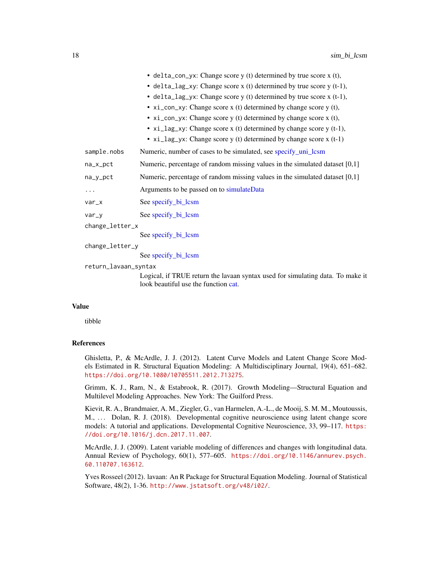<span id="page-17-0"></span>

|                 | • delta_con_yx: Change score $y(t)$ determined by true score $x(t)$ ,               |  |
|-----------------|-------------------------------------------------------------------------------------|--|
|                 | • delta_lag_xy: Change score $x(t)$ determined by true score $y(t-1)$ ,             |  |
|                 | • delta_lag_yx: Change score y (t) determined by true score x (t-1),                |  |
|                 | • $xi_{\text{con}}$ xi_con_xy: Change score x (t) determined by change score y (t), |  |
|                 | • $xi_{\text{con}}$ xi_con_yx: Change score y (t) determined by change score x (t), |  |
|                 | • $xi_{1}$ and $xi_{2}$ xy: Change score x (t) determined by change score y (t-1),  |  |
|                 | • $xi\_lag\_yx$ : Change score y (t) determined by change score x (t-1)             |  |
| sample.nobs     | Numeric, number of cases to be simulated, see specify_uni_lcsm                      |  |
| $na_x_pct$      | Numeric, percentage of random missing values in the simulated dataset $[0,1]$       |  |
| $na_y$          | Numeric, percentage of random missing values in the simulated dataset [0,1]         |  |
| .               | Arguments to be passed on to simulateData                                           |  |
| $var_x$         | See specify_bi_lcsm                                                                 |  |
| $var_y$         | See specify bi lcsm                                                                 |  |
| change_letter_x |                                                                                     |  |
|                 | See specify_bi_lcsm                                                                 |  |
| change_letter_y |                                                                                     |  |
|                 | See specify_bi_lcsm                                                                 |  |

return\_lavaan\_syntax

Logical, if TRUE return the lavaan syntax used for simulating data. To make it look beautiful use the function [cat.](#page-0-0)

#### Value

tibble

### References

Ghisletta, P., & McArdle, J. J. (2012). Latent Curve Models and Latent Change Score Models Estimated in R. Structural Equation Modeling: A Multidisciplinary Journal, 19(4), 651–682. <https://doi.org/10.1080/10705511.2012.713275>.

Grimm, K. J., Ram, N., & Estabrook, R. (2017). Growth Modeling—Structural Equation and Multilevel Modeling Approaches. New York: The Guilford Press.

Kievit, R. A., Brandmaier, A. M., Ziegler, G., van Harmelen, A.-L., de Mooij, S. M. M., Moutoussis, M., ... Dolan, R. J. (2018). Developmental cognitive neuroscience using latent change score models: A tutorial and applications. Developmental Cognitive Neuroscience, 33, 99–117. [https:](https://doi.org/10.1016/j.dcn.2017.11.007) [//doi.org/10.1016/j.dcn.2017.11.007](https://doi.org/10.1016/j.dcn.2017.11.007).

McArdle, J. J. (2009). Latent variable modeling of differences and changes with longitudinal data. Annual Review of Psychology, 60(1), 577–605. [https://doi.org/10.1146/annurev.psych.](https://doi.org/10.1146/annurev.psych.60.110707.163612) [60.110707.163612](https://doi.org/10.1146/annurev.psych.60.110707.163612).

Yves Rosseel (2012). lavaan: An R Package for Structural Equation Modeling. Journal of Statistical Software, 48(2), 1-36. <http://www.jstatsoft.org/v48/i02/>.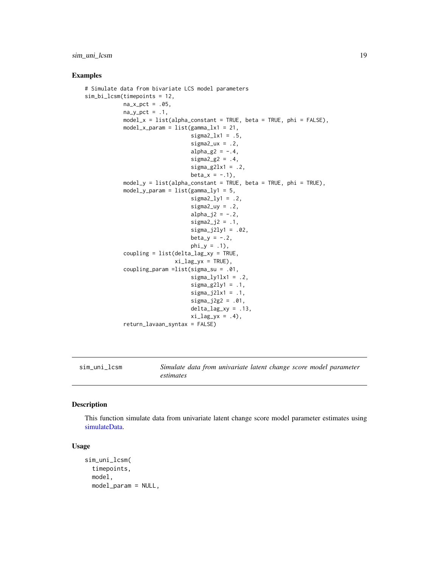# <span id="page-18-0"></span>sim\_uni\_lcsm 19

#### Examples

```
# Simulate data from bivariate LCS model parameters
sim_bi_lcsm(timepoints = 12,
            na_xpct = .05,
            na_y_pct = .1,
            model_x = list(alpha\_constant = TRUE, beta = TRUE, phi = FALSE),model_x_param = list(gamma_l x1 = 21,signal<sub>2</sub>1x1 = .5,
                                 signa2_ux = .2,alpha_g2 = -.4,
                                 signa2_g2 = .4,signa_g2lx1 = .2,beta_x = -.1,
            model_y = list(alpha_constant = TRUE, beta = TRUE, phi = TRUE),
            model_y_param = list(gamma_ly1 = 5,
                                 signally1 = .2,
                                 sigma2_{UV} = .2alpha_j2 = -.2,
                                 signa2_j2 = .1,signa_j2ly1 = .02,
                                 beta_y = -.2,
                                 phi_y = .1,
            coupling = list(delta_lag_xy = TRUE,
                            xi\_lag_yx = TRUE,
            coupling_param =list(sigma_su = .01,
                                 signaly1lx1 = .2,signa_g2ly1 = .1,signa_j2lx1 = .1,signa_{12g2} = .01,
                                 delta_{lag_xxy} = .13,
                                 xi\_lag_yx = .4,
            return_lavaan_syntax = FALSE)
```
sim\_uni\_lcsm *Simulate data from univariate latent change score model parameter estimates*

#### Description

This function simulate data from univariate latent change score model parameter estimates using [simulateData.](#page-0-0)

#### Usage

```
sim_uni_lcsm(
  timepoints,
  model,
 model_param = NULL,
```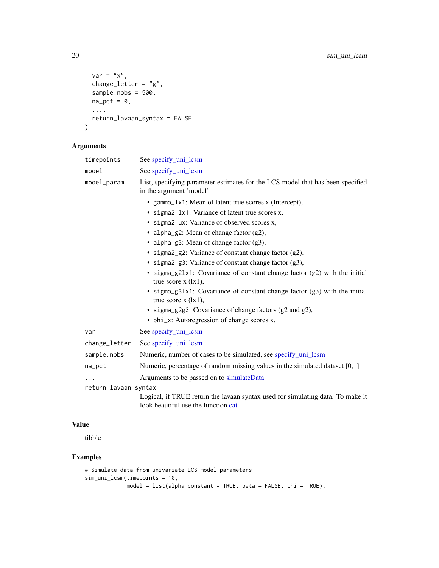```
var = "x",change_letter = "g",sample.nobs = 500,
 na\_pct = 0,
  ...,
 return_lavaan_syntax = FALSE
\mathcal{L}
```
# Arguments

| timepoints           | See specify_uni_lcsm                                                                                                                                                                                                                                                                                                                                                                                                                                                                                                                                                                                                                                                                                 |  |
|----------------------|------------------------------------------------------------------------------------------------------------------------------------------------------------------------------------------------------------------------------------------------------------------------------------------------------------------------------------------------------------------------------------------------------------------------------------------------------------------------------------------------------------------------------------------------------------------------------------------------------------------------------------------------------------------------------------------------------|--|
| model                | See specify_uni_lcsm                                                                                                                                                                                                                                                                                                                                                                                                                                                                                                                                                                                                                                                                                 |  |
| model_param          | List, specifying parameter estimates for the LCS model that has been specified<br>in the argument 'model'                                                                                                                                                                                                                                                                                                                                                                                                                                                                                                                                                                                            |  |
|                      | • gamma_1x1: Mean of latent true scores x (Intercept),<br>• sigma2_1x1: Variance of latent true scores x,<br>• sigma2_ux: Variance of observed scores x,<br>• alpha_g2: Mean of change factor $(g2)$ ,<br>• alpha_g3: Mean of change factor (g3),<br>• sigma2_g2: Variance of constant change factor (g2).<br>• sigma2_g3: Variance of constant change factor (g3),<br>· sigma_g21x1: Covariance of constant change factor (g2) with the initial<br>true score $x$ ( $\{x\}$ ),<br>• sigma_g31x1: Covariance of constant change factor (g3) with the initial<br>true score $x$ ( $ x_1$ ),<br>· sigma_g2g3: Covariance of change factors (g2 and g2),<br>• phi_x: Autoregression of change scores x. |  |
| var                  | See specify_uni_lcsm                                                                                                                                                                                                                                                                                                                                                                                                                                                                                                                                                                                                                                                                                 |  |
| change_letter        | See specify_uni_lcsm                                                                                                                                                                                                                                                                                                                                                                                                                                                                                                                                                                                                                                                                                 |  |
| sample.nobs          | Numeric, number of cases to be simulated, see specify_uni_lcsm                                                                                                                                                                                                                                                                                                                                                                                                                                                                                                                                                                                                                                       |  |
| na_pct               | Numeric, percentage of random missing values in the simulated dataset [0,1]                                                                                                                                                                                                                                                                                                                                                                                                                                                                                                                                                                                                                          |  |
|                      | Arguments to be passed on to simulateData                                                                                                                                                                                                                                                                                                                                                                                                                                                                                                                                                                                                                                                            |  |
| return_lavaan_syntax |                                                                                                                                                                                                                                                                                                                                                                                                                                                                                                                                                                                                                                                                                                      |  |
|                      | Logical, if TRUE return the lavaan syntax used for simulating data. To make it                                                                                                                                                                                                                                                                                                                                                                                                                                                                                                                                                                                                                       |  |

#### Value

tibble

# Examples

```
# Simulate data from univariate LCS model parameters
sim_uni_lcsm(timepoints = 10,
            model = list(alpha_constant = TRUE, beta = FALSE, phi = TRUE),
```
look beautiful use the function [cat.](#page-0-0)

<span id="page-19-0"></span>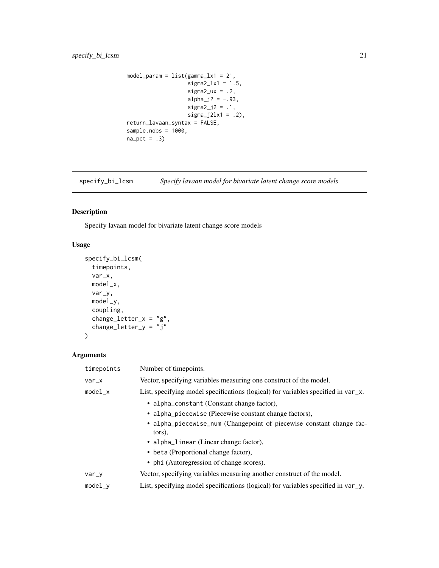```
model\_param = list(gamma_l x1 = 21,signal<sub>2</sub>1x1 = 1.5,
                    signa2_ux = .2,alpha_j2 = -.93,
                    signa2_j2 = .1,
                    signa_j2lx1 = .2,
return_lavaan_syntax = FALSE,
sample.nobs = 1000,
na_pct = .3)
```
<span id="page-20-1"></span>specify\_bi\_lcsm *Specify lavaan model for bivariate latent change score models*

### Description

Specify lavaan model for bivariate latent change score models

# Usage

```
specify_bi_lcsm(
  timepoints,
  var_x,
 model_x,
 var_y,
 model_y,
 coupling,
 change_letter_x = "g",change_letter_y = "j"\mathcal{L}
```

```
Arguments
```

| timepoints | Number of timepoints.                                                                |
|------------|--------------------------------------------------------------------------------------|
| $var_x$    | Vector, specifying variables measuring one construct of the model.                   |
| $model_x$  | List, specifying model specifications (logical) for variables specified in $var_x$ . |
|            | • alpha_constant (Constant change factor),                                           |
|            | • alpha_piecewise (Piecewise constant change factors),                               |
|            | • alpha_piecewise_num (Changepoint of piecewise constant change fac-<br>tors),       |
|            | • alpha_linear (Linear change factor),                                               |
|            | • beta (Proportional change factor),                                                 |
|            | • phi (Autoregression of change scores).                                             |
| $var_y$    | Vector, specifying variables measuring another construct of the model.               |
| $model_v$  | List, specifying model specifications (logical) for variables specified in $var_y$ . |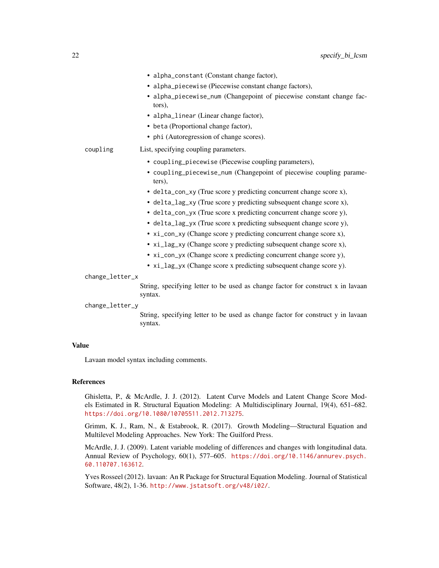|                 | • alpha_constant (Constant change factor),                                                 |
|-----------------|--------------------------------------------------------------------------------------------|
|                 | • alpha_piecewise (Piecewise constant change factors),                                     |
|                 | • alpha_piecewise_num (Changepoint of piecewise constant change fac-<br>tors),             |
|                 | • alpha_linear (Linear change factor),                                                     |
|                 | • beta (Proportional change factor),                                                       |
|                 | • phi (Autoregression of change scores).                                                   |
| coupling        | List, specifying coupling parameters.                                                      |
|                 | • coupling_piecewise (Piecewise coupling parameters),                                      |
|                 | • coupling_piecewise_num (Changepoint of piecewise coupling parame-<br>ters),              |
|                 | • delta_con_xy (True score y predicting concurrent change score x),                        |
|                 | • delta_lag_xy (True score y predicting subsequent change score x),                        |
|                 | • delta_con_yx (True score x predicting concurrent change score y),                        |
|                 | • delta_lag_yx (True score x predicting subsequent change score y),                        |
|                 | • xi_con_xy (Change score y predicting concurrent change score x),                         |
|                 | • xi_lag_xy (Change score y predicting subsequent change score x),                         |
|                 | • xi_con_yx (Change score x predicting concurrent change score y),                         |
|                 | • xi_lag_yx (Change score x predicting subsequent change score y).                         |
| change_letter_x |                                                                                            |
|                 | String, specifying letter to be used as change factor for construct x in lavaan<br>syntax. |
| change_letter_y |                                                                                            |
|                 |                                                                                            |

String, specifying letter to be used as change factor for construct y in lavaan syntax.

# Value

Lavaan model syntax including comments.

# References

Ghisletta, P., & McArdle, J. J. (2012). Latent Curve Models and Latent Change Score Models Estimated in R. Structural Equation Modeling: A Multidisciplinary Journal, 19(4), 651–682. <https://doi.org/10.1080/10705511.2012.713275>.

Grimm, K. J., Ram, N., & Estabrook, R. (2017). Growth Modeling—Structural Equation and Multilevel Modeling Approaches. New York: The Guilford Press.

McArdle, J. J. (2009). Latent variable modeling of differences and changes with longitudinal data. Annual Review of Psychology, 60(1), 577–605. [https://doi.org/10.1146/annurev.psych.](https://doi.org/10.1146/annurev.psych.60.110707.163612) [60.110707.163612](https://doi.org/10.1146/annurev.psych.60.110707.163612).

Yves Rosseel (2012). lavaan: An R Package for Structural Equation Modeling. Journal of Statistical Software, 48(2), 1-36. <http://www.jstatsoft.org/v48/i02/>.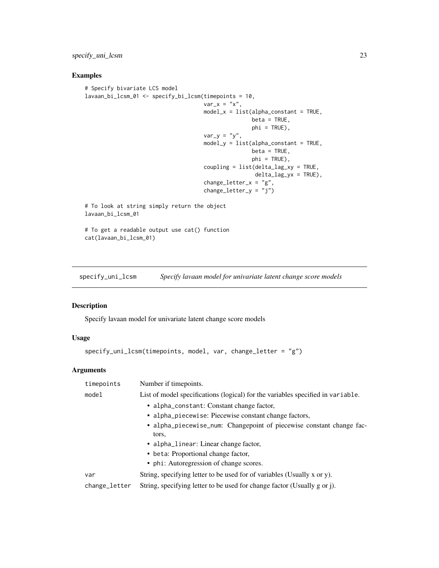<span id="page-22-0"></span>specify\_uni\_lcsm 23

### Examples

```
# Specify bivariate LCS model
lavaan_bi_lcsm_01 <- specify_bi_lcsm(timepoints = 10,
                                     var_x = "x",model_x = list(alpha\_constant = TRUE,beta = TRUE,phi = TRUE),
                                     var_y = "y",model_y = list(alpha\_constant = TRUE,beta = TRUE,phi = TRUE),
                                     coupling = list(delta_lag_xy = TRUE,
                                                     delta_lag_yx = TRUE),
                                     change_letter_x = "g",change_{letter_y} = "j")# To look at string simply return the object
lavaan_bi_lcsm_01
# To get a readable output use cat() function
```
cat(lavaan\_bi\_lcsm\_01)

<span id="page-22-1"></span>specify\_uni\_lcsm *Specify lavaan model for univariate latent change score models*

#### Description

Specify lavaan model for univariate latent change score models

#### Usage

```
specify_uni_lcsm(timepoints, model, var, change_letter = "g")
```

| timepoints    | Number if timepoints.                                                           |  |
|---------------|---------------------------------------------------------------------------------|--|
| model         | List of model specifications (logical) for the variables specified in variable. |  |
|               | • alpha_constant: Constant change factor,                                       |  |
|               | • alpha_piecewise: Piecewise constant change factors,                           |  |
|               | • alpha_piecewise_num: Changepoint of piecewise constant change fac-<br>tors,   |  |
|               | • alpha_linear: Linear change factor,                                           |  |
|               | • beta: Proportional change factor,                                             |  |
|               | • phi: Autoregression of change scores.                                         |  |
| var           | String, specifying letter to be used for of variables (Usually x or y).         |  |
| change_letter | String, specifying letter to be used for change factor (Usually g or j).        |  |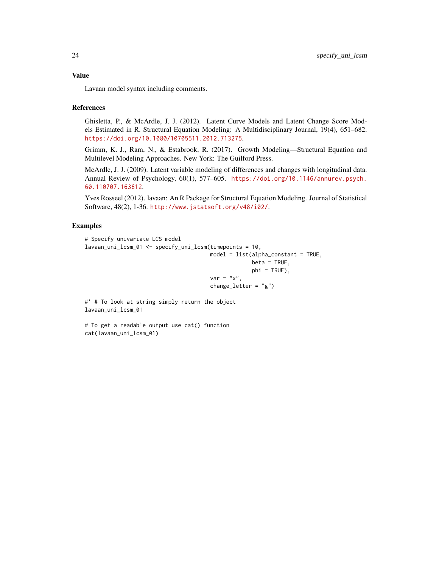Lavaan model syntax including comments.

#### References

Ghisletta, P., & McArdle, J. J. (2012). Latent Curve Models and Latent Change Score Models Estimated in R. Structural Equation Modeling: A Multidisciplinary Journal, 19(4), 651–682. <https://doi.org/10.1080/10705511.2012.713275>.

Grimm, K. J., Ram, N., & Estabrook, R. (2017). Growth Modeling—Structural Equation and Multilevel Modeling Approaches. New York: The Guilford Press.

McArdle, J. J. (2009). Latent variable modeling of differences and changes with longitudinal data. Annual Review of Psychology, 60(1), 577–605. [https://doi.org/10.1146/annurev.psych.](https://doi.org/10.1146/annurev.psych.60.110707.163612) [60.110707.163612](https://doi.org/10.1146/annurev.psych.60.110707.163612).

Yves Rosseel (2012). lavaan: An R Package for Structural Equation Modeling. Journal of Statistical Software, 48(2), 1-36. <http://www.jstatsoft.org/v48/i02/>.

#### Examples

```
# Specify univariate LCS model
lavaan_uni_lcsm_01 <- specify_uni_lcsm(timepoints = 10,
                                      model = list(alpha_constant = TRUE,
                                                   beta = TRUE,
                                                   phi = TRUE),
                                      var = "x",change_letter = "g")
```
#' # To look at string simply return the object lavaan\_uni\_lcsm\_01

# To get a readable output use cat() function cat(lavaan\_uni\_lcsm\_01)